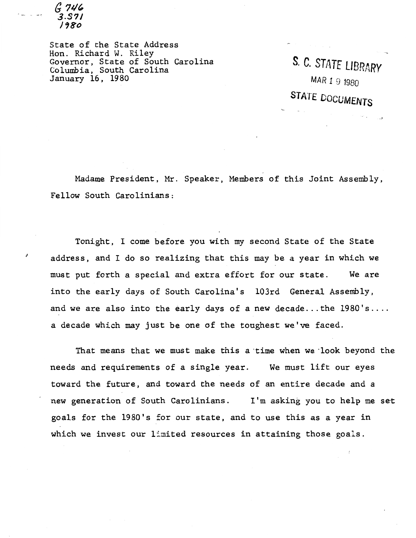*a* ?J/~ 3.S7I<br>1980

State of the State Address Hon. Richard W. Riley Governor, State of South Carolina Columbia, South Carolina January 16, 1980

S. C. STATE LIBRARY MAR 1 9 1980 STATE DOCUMENTS

-'

Madame President, Mr. Speaker, Members of this Joint Assembly, Fellow South Carolinians:

Tonight, I come before you with my second State of the State address, and I do so realizing that this may be a year in which we must put forth a special and extra effort for our state. We are into the early days of South Carolina's 103rd General Assembly, and we are also into the early days of a new decade...the  $1980$ 's.... a decade which may just be one of the toughest we've faced.

That means that we must make this a·time when we ·look beyond the needs and requirements of a single year. We must lift our eyes toward the future, and toward the needs of an entire decade and a new generation of South Carolinians. I'm asking you to help me set goals for the 1980's for our state, and to use this as a year in which we invest our limited resources in attaining those goals.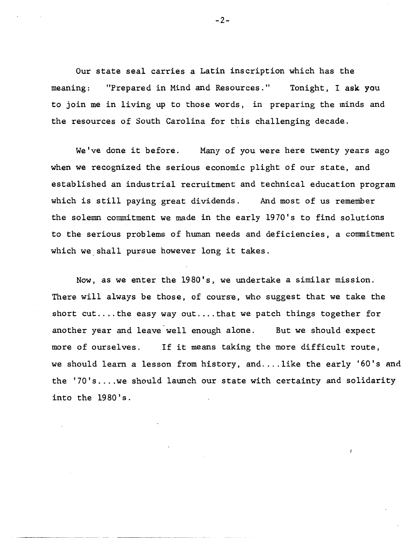Our state seal carries a Latin inscription which has the meaning: "Prepared in Mind and Resources." Tonight, I ask you to join me in living up to those words, in preparing the minds and the resources of South Carolina for this challenging decade.

We've done it before. Many of you were here twenty years ago when we recognized the serious economic plight of our state, and established an industrial recruitment and technical education program which is still paying great dividends. And most of us remember the solemn commitment we made in the early 1970's to find solutions to the serious problems of human needs and deficiencies, a commitment which we shall pursue however long it takes.

Now, as we enter the 1980's, we undertake a similar mission. There will always be those, of course, who suggest that we take the short cut.... the easy way out.... that we patch things together for another year and leave well enough alone. But we should expect more of ourselves. If it means taking the more difficult route, we should learn a lesson from history, and....like the early '60's and the '70's .... we should launch our state with certainty and solidarity into the 1980's.

-2-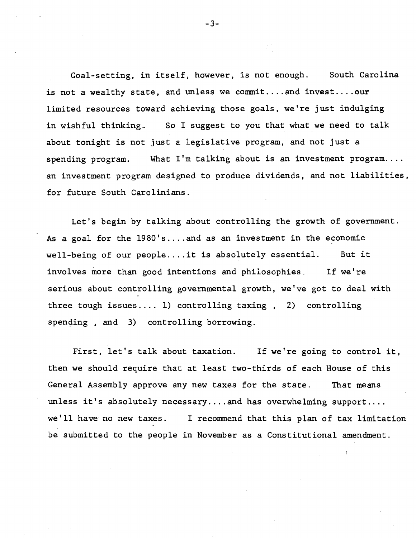Goal-setting, in itself, however, is not enough. South Carolina is not a wealthy state, and unless we commit....and invest....our limited resources toward achieving those goals, we're just indulging in wishful thinking.. So I suggest to you that what we need to talk about tonight is not just a legislative program, and not just a spending program. What  $I'm$  talking about is an investment program.... an investment program designed to produce dividends, and not liabilities, for future South Carolinians.

Let's begin by talking about controlling the growth of government. As a goal for the 1980's .... and as an investment in the economic well-being of our people.... it is absolutely essential. But it involves more than good intentions and philosophies. If we're serious about controlling governmental growth, we've got to deal with three tough issues .... 1) controlling taxing , 2) controlling spending, and 3) controlling borrowing.

First, let's talk about taxation. If we're going to control it, then we should require that at least two-thirds of each House of this General Assembly approve any new taxes for the state. That means unless it's absolutely necessary ... and has overwhelming support.... we'll have no new taxes. I recommend that this plan of tax limitation be submitted to the people in November as a Constitutional amendment.

-3-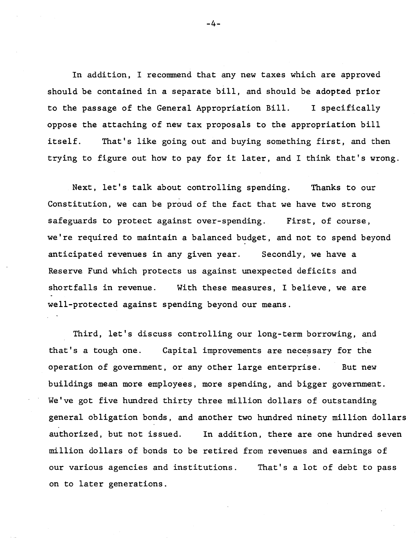In addition, I recommend that any new taxes which are approved should be contained in a separate bill, and should be adopted prior to the passage of the General Appropriation Bill. I specifically oppose the attaching of new tax proposals to the appropriation bill itself. That's like going out and buying something first, and then trying to figure out how to pay for it later, and I think that's wrong.

Next, let's talk about controlling spending. Thanks to our Constitution, we can be proud of the fact that we have two strong safeguards to protect against over-spending. First, of course, we're required to maintain a balanced budget, and not to spend beyond anticipated revenues in any given year. Secondly, we have a Reserve Fund which protects us against unexpected deficits and shortfalls in revenue. With these measures, I believe, we are well-protected against spending beyond our means.

Third, let's discuss controlling our long-term borrowing, and that's a tough one. Capital improvements are necessary for the operation of government, or any other large enterprise. But new buildings mean more employees, more spending, and bigger government. We've got five hundred thirty three million dollars of outstanding general obligation bonds, and another two hundred ninety million dollars authorized, but not issued. In addition, there are one hundred seven million dollars of bonds to be retired from revenues and earnings of our various agencies and institutions. That's a lot of debt to pass on to later generations.

-4-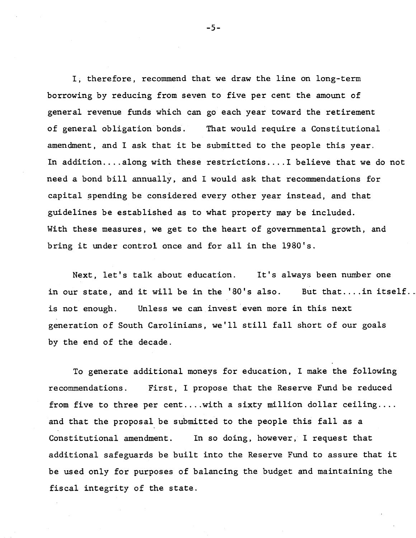I, therefore, recommend that we draw the line on long-term borrowing by reducing from seven to five per cent the amount of general revenue funds which can go each year toward the retirement of general obligation bonds. That would require a Constitutional amendment, and I ask that it be submitted to the people this year. In addition....along with these restrictions....I believe that we do not need a bond bill annually, and I would ask that recommendations for capital spending be considered every other year instead, and that guidelines be established as to what property may be included. With these measures, we get to the heart of governmental growth, and bring it under control once and for all in the 1980's.

Next, let's talk about education. It's always been number one in our state, and it will be in the  $'80'$ s also. But that.... in itself.. is not enough. Unless we can invest even more in this next generation of South Carolinians, we'll still fall short of our goals by the end of the decade.

To generate additional moneys for education, I make the following recommendations. First, I propose that the Reserve Fund be reduced from five to three per cent.... with a sixty million dollar ceiling.... and that the proposal be submitted to the people this fall as a Constitutional amendment. In so doing, however, I request that additional safeguards be built into the Reserve Fund to assure that it be used only for purposes of balancing the budget and maintaining the fiscal integrity of the state.

-5-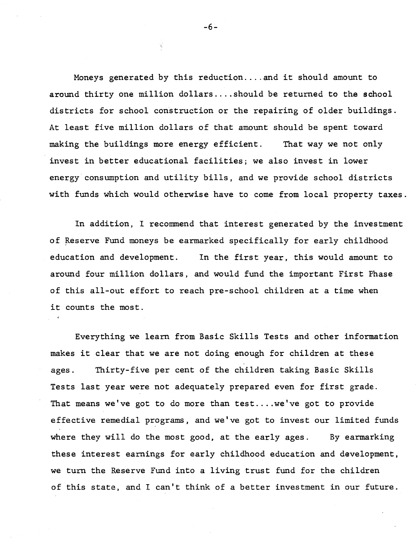Moneys generated by this reduction .... and it should amount to around thirty one million dollars .... should be returned to the school districts for school construction or the repairing of older buildings. At least five million dollars of that amount should be spent toward making the buildings more energy efficient. That way we not only invest in better educational facilities; we also invest in lower energy consumption and utility bills, and we provide school districts with funds which would otherwise have to come from local property taxes.

In addition, I recommend that interest generated by the investment of Reserve Fund moneys be earmarked specifically for early childhood education and development. In the first year, this would amount to around four million dollars, and would fund the important First Phase of this all-out effort to reach pre-school children at a time when it counts the most.

Everything we learn from Basic Skills Tests and other information makes it clear that we are not doing enough for children at these ages. Thirty-five per cent of the children taking Basic Skills Tests last year were not adequately prepared even for first grade. That means we've got to do more than test.... we've got to provide effective remedial programs, and we've got to invest our limited funds where they will do the most good, at the early ages. By earmarking these interest earnings for early childhood education and development, we turn the Reserve Fund into a living trust fund for the children of this state, and I can't think of a better investment in our future.

-6-

 $\hat{\mathbf{x}}_j^{\prime}$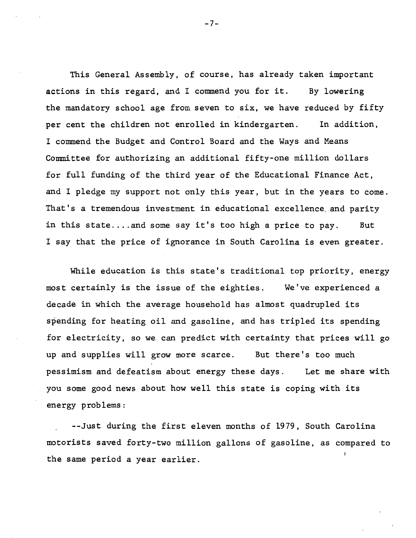This General Assembly, of course, has already taken important actions in this regard, and I commend you for it. By lowering the mandatory school age from seven to six, we have reduced by fifty per cent the children not enrolled in kindergarten. In addition, I commend the Budget and Control Board and the Ways and Means Committee for authorizing an additional fifty-one million dollars for full funding of the third year of the Educational Finance·Act, and I pledge my support not only this year, but in the years to come. That's a tremendous investment in educational excellence and parity in this state.... and some say it's too high a price to pay. But I say that the price of ignorance in South Carolina is even greater.

While education is this state's traditional top priority, energy most certainly is the issue of the eighties. We've experienced a decade in which the average household has almost quadrupled its spending for heating oil and gasoline, and has tripled its spending for electricity, so we can predict with certainty that prices will go up and supplies will grow more scarce. But there's too much pessimism and defeatism about energy these days. Let me share with you some good news about how well this state is coping with its energy problems:

--Just during the first eleven months of 1979, South Carolina motorists saved forty-two million gallons of gasoline, as compared to the same period a year earlier.

-7-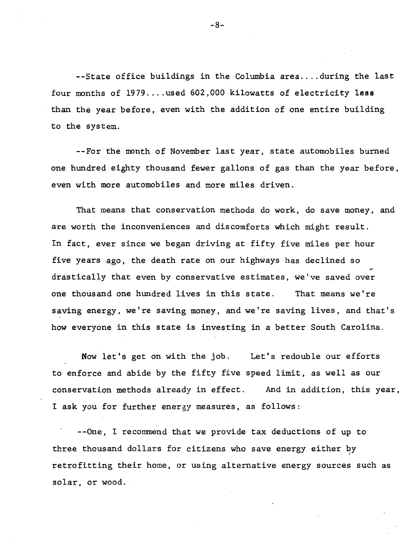--State office buildings in the Columbia area....during the last four months of 1979 .... used 602,000 kilowatts of electricity less than the year before, even with the addition of one entire building to the system.

--For the month of November last year, state automobiles burned one hundred eighty thousand fewer gallons of gas than the year before, even with more automobiles and more miles driven.

That means that conservation methods do work, do save money, and are worth the inconveniences and discomforts which might result. In fact, ever since we began driving at fifty five miles per hour five years ago, the death rate on our highways has declined so<br>drastically that even by conservative estimates, we've saved over one thousand one hundred lives in this state. That means we're saving energy, we're saving money, and we're saving lives, and that's how everyone in this state is investing in a better South Carolina.

Now let's get on with the job. Let's redouble our efforts to enforce and abide by the fifty five speed limit, as well as our conservation methods already in effect. And in addition, this year, I ask you for further energy measures, as follows:

--One, I recommend that we provide tax deductions of up to three thousand dollars for citizens who save energy either  $b_{ij}$ retrofitting their home, or using alternative energy sources such as solar, or wood.

-8-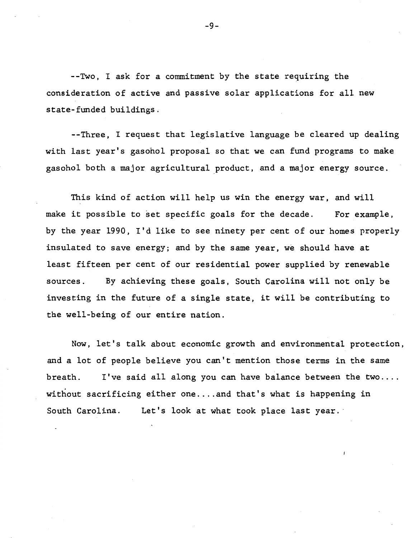--Two, I ask for a commitment by the state requiring the consideration of active and passive solar applications for all new state-funded buildings.

--Three, I request that legislative language be cleared up dealing with last year's gasohol proposal so that we can fund programs to make gasohol both a major agricultural product, and a major energy source.

This kind of action will help us win the energy war, and will make it possible to set specific goals for the decade. For example, by the year 1990, I'd like to see ninety per cent of our homes properly insulated to save energy; and by the same year, we should have at least fifteen per cent of our residential power supplied by renewable sources. By achieving these goals, South Carolina will not only be investing in the future of a single state, it will be contributing to the well-being of our entire nation.

Now, let's talk about economic growth and environmental protection, and a lot of people believe you can't mention those terms in the same breath. I've said all along you can have balance between the two.... without sacrificing either one .... and that's what is happening in South Carolina. Let's look at what took place last year.

-9-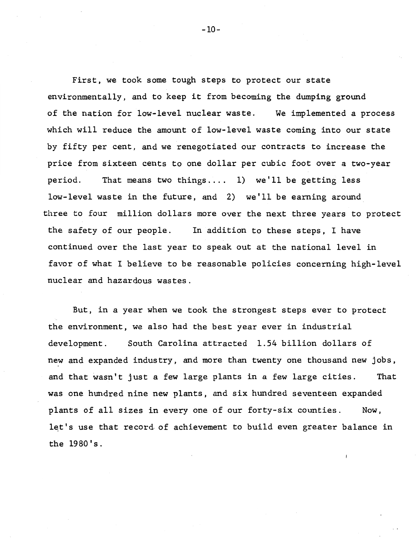First, we took some tough steps to protect our state environmentally, and to keep it from becoming the dumping ground of the nation for low-level nuclear waste. We implemented a process which will reduce the amount of low-level waste coming into our state by fifty per cent, and we renegotiated our contracts to increase the price from sixteen cents to one dollar per cubic foot over a two-year period. That means two things .... 1) we'll be getting less low-level waste in the future, and 2) we'll be earning around three to four million dollars more over the next three years to protect the safety of our people. In addition to these steps, I have continued over the last year to speak out at the national level in favor of what I believe to be reasonable policies concerning high-level nuclear and hazardous wastes.

But, in a year when we took the strongest steps ever to protect the environment, we also had the best year ever in industrial development. South Carolina attracted 1.54 billion dollars of new and expanded industry, and more than twenty one thousand new jobs, and that wasn't just a few large plants in a few large cities. That was one hundred nine new plants, and six hundred seventeen expanded plants of all sizes in every one of our forty-six counties. Now, let's use that record of achievement to build even greater balance in the 1980's.

-10-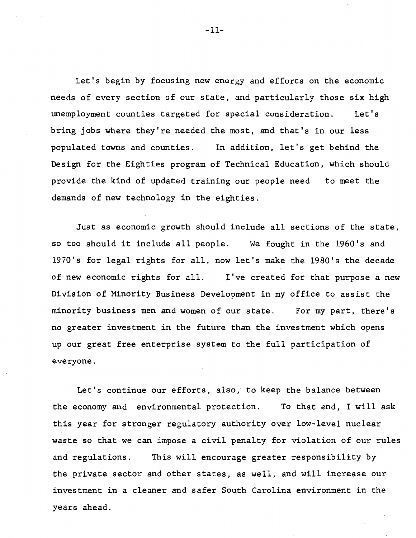Let's begin by focusing new energy and efforts on the economic ·needs of every section of our state, and particularly those six high unemployment counties targeted for special consideration. Let's bring jobs where they're needed the most, and that's in our less populated towns and counties. In addition, let's get behind the Design for the Eighties program of Technical Education, which should provide the kind of updated training our people need to meet the demands of new technology in the eighties.

Just as economic growth should include all sections of the state, so too should it include all people. We fought in the 1960's and 1970's for legal rights for all, now let's make the 1980's the decade of new economic rights for all. I've created for that purpose a new Division of Minority Business Development in my office to assist the minority business men and women·of our state. For my part, there's no greater investment in the future than the investment which opens up our great free enterprise system to the full participation of everyone.

Let's continue our efforts, also; to keep the balance between the economy and environmental protection. To that end, I will ask this year for stronger regulatory authority over low-level nuclear waste so that we can impose a civil penalty for violation of our rules and regulations. This will encourage greater responsibility by the private sector and other states, as well, and will increase our investment in a cleaner and safer South Carolina environment in the years ahead.

-11-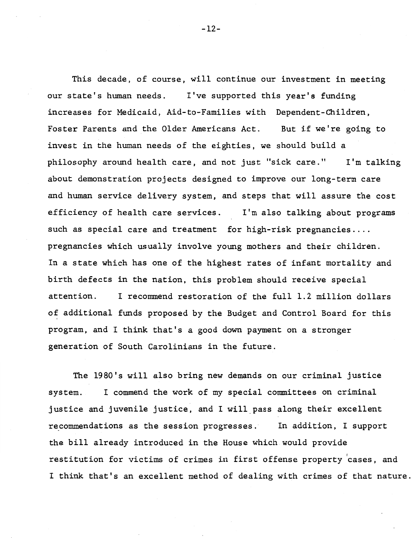This decade, of course, will continue our investment in meeting our state's human needs. I've supported this year's funding increases for Medicaid, Aid-to-Families with Dependent-Children, Foster Parents and the Older Americans Act. But if we're going to invest in the human needs of the eighties, we should build a philosophy around health care, and not just "sick care." I'm talking about demonstration projects designed to improve our long-term care and human service delivery system, and steps that will assure the cost efficiency of health care services. I'm also talking about programs such as special care and treatment for high-risk pregnancies .... pregnancies which usually involve young mothers and their children. In a state which has one of the highest rates of infant mortality and birth defects in the nation, this problem should receive special attention. I recommend restoration of the full 1.2 million dollars of additional funds proposed by the Budget and Control Board for this program, and I think that's a good down payment on a stronger generation of South Carolinians in the future.

The 1980's will also bring new demands on our criminal justice system. I commend the work of my special committees on criminal justice and juvenile justice, and I will\_pass along their excellent recommendations as the session progresses. In addition, I support the bill already introduced in the House which would provide restitution for victims of crimes in first offense property cases, and I think that's an excellent method of dealing with crimes of that nature.

-12-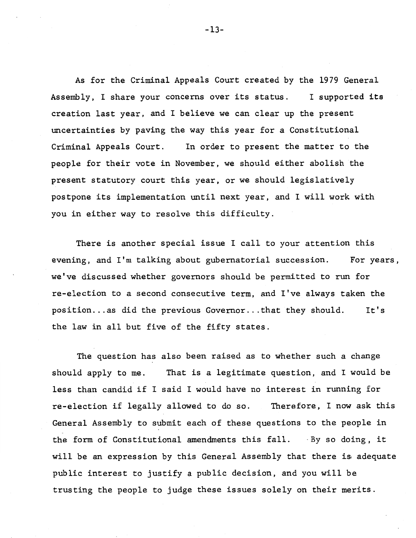As for the Criminal Appeals Court created by the 1979 General Assembly, I share your concerns over its status. I supported its creation last year, and I believe we can clear up the present uncertainties by paving the way this year for a Constitutional Criminal Appeals Court. In order to present the matter to the people for their vote in November, we should either abolish the present statutory court this year, or we should legislatively postpone its implementation until next year, and I will work with you in either way to resolve this difficulty.

There is another special issue I call to your attention this evening, and I'm talking about gubernatorial succession. For years, we've discussed whether governors should be permitted to run for re-election to a second consecutive term, and I've always taken the position... as did the previous Governor... that they should. It's the law in all but five of the fifty states.

The question has also been raised as to whether such a change should apply to me. That is a legitimate question, and I would be less than candid if I said I would have no interest in running for re-election if legally allowed to do so. Therefore, I now ask this General Assembly to submit each of these questions to the people in the form of Constitutional amendments this fall. ·By so doing, it will be an expression by this General Assembly that there is adequate public interest to justify a public decision, and you will be trusting the people to judge these issues solely on their merits.

-13-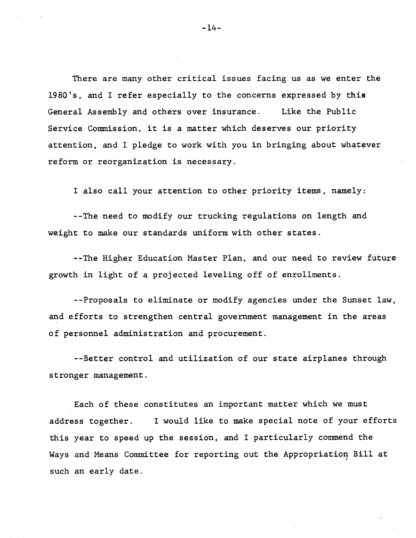There are many other critical issues facing us as we enter the 1980's, and I refer especially to the concerns expressed by this General Assembly and others over insurance. Like the Public Service Commission, it is a matter which deserves our priority attention, and I pledge to work with you in bringing about whatever reform or reorganization is necessary.

I also call your attention to other priority items, namely:

--The need to modify our trucking regulations on length and weight to make our standards uniform with other states.

--The Higher Education Master Plan, and our need to review future growth in light of a projected leveling off of enrollments.

--Proposals to eliminate or modify agencies under the Sunset law, and efforts to strengthen central government management in the areas of personnel administration and procurement.

--Better control and utilization of our state airplanes through stronger management.

Each of these constitutes an important matter which we must address together. I would like to make special note of your efforts this year to speed up the session, and I particularly commend the Ways and Means Committee for reporting out the Appropriation Bill at such an early date.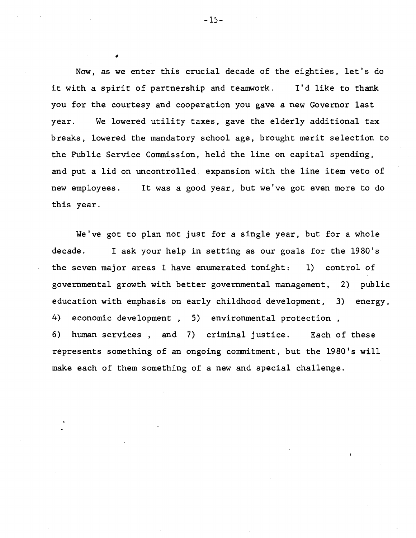Now, as we enter this crucial decade of the eighties, let's do it with a spirit of partnership and teamwork. I'd like to thank you for the courtesy and cooperation you gave a new Governor last year. We lowered utility taxes, gave the elderly additional tax breaks, lowered the mandatory school age, brought merit selection to the Public Service Commission, held the line on capital spending, and put a lid on uncontrolled expansion with the line item veto of new employees. this year. It was a good year, but we've got even more to do

We've got to plan not just for a single year, but for a whole decade. I ask your help in setting as our goals for the 1980's the seven major areas I have enumerated tonight: 1) control of governmental growth with better governmental management, 2) public education with emphasis on early childhood development, 3) energy, 4) economic development , 5) environmental protection , 6) human services , and 7) criminal justice. Each of these represents something of an ongoing commitment, but the 1980's will make each of them something of a new and special challenge.

#